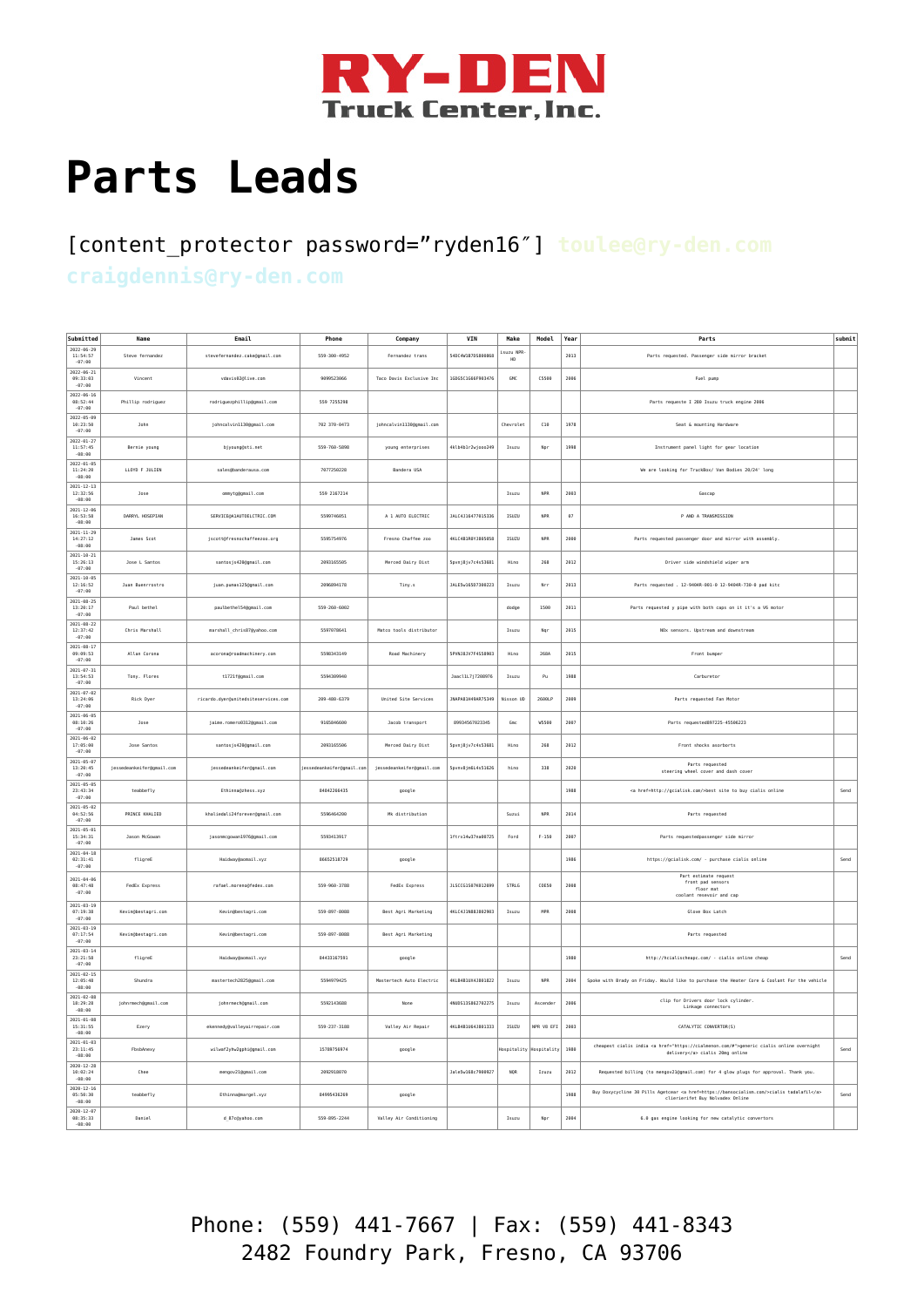

## **[Parts Leads](https://ry-den.com/parts-leads/)**

## [content\_protector password="ryden16″] **toulee@ry-den.com craigdennis@ry-den.com**

| Submitted<br>$2022 - 06 - 29$              | Name                      | Email                               | Phone                     | Company                   | VIN                | Make            | Model                   | Year     | Parts                                                                                                                          | submit |
|--------------------------------------------|---------------------------|-------------------------------------|---------------------------|---------------------------|--------------------|-----------------|-------------------------|----------|--------------------------------------------------------------------------------------------------------------------------------|--------|
| 11:54:57<br>$-07:00$                       | Steve fernandez           | stevefernandez.cake@gmail.com       | 559-300-4952              | Fernandez trans           | 54DC4W1B7DS890868  | isuzu NPR<br>HD |                         | 2013     | Parts requested. Passenger side mirror bracket                                                                                 |        |
| $2022 - 06 - 21$<br>09:33:03<br>$-07:00$   | Vincent                   | vdavis020live.com                   | 9099523066                | Taco Davis Exclusive Inc. | 1GDG5C1G66F903476  | GMC             | <b>C5500</b>            | 2006     | Fuel pump                                                                                                                      |        |
| $2022 - 06 - 16$<br>08:52:44<br>$-07:00$   | Phillip rodriguez         | rodriguezphillip@gmail.com          | 559 7255298               |                           |                    |                 |                         |          | Parts requeste I 280 Isuzu truck engine 2006                                                                                   |        |
| $2022 - 05 - 09$<br>10:23:50<br>$-07:00$   | <b>John</b>               | johncalvin1130ggmail.com            | 702 370-0473              | johncalvin1130@gmail.com  |                    | Chevrolet       | C10                     | 1978     | Seat & mounting Hardware                                                                                                       |        |
| $2022 - 01 - 27$<br>11:57:45<br>$-08:00$   | Bernie young              | bjyoung@sti.net                     | 559-760-5898              | young enterprises         | 4klb4b1r2wjooo249  | Isuzu           | Npr                     | 1998     | Instrument panel light for gear location                                                                                       |        |
| $2022 - 01 - 05$<br>11:24:20<br>$-08:00$   | LLOYD F JULIEN            | sales@banderausa.com                | 7077250228                | Bandera USA               |                    |                 |                         |          | We are looking for TruckBox/ Van Bodies 20/24' long                                                                            |        |
| $2021 - 12 - 13$<br>12:32:56<br>$-08:00$   | Jose                      | ommyto@omail.com                    | 559 2167214               |                           |                    | Isuzu           | <b>NPR</b>              | 2003     | Gascap                                                                                                                         |        |
| $2021 - 12 - 06$<br>16:53:58<br>$-08:00$   | DARRYL HOSEPIAN           | SERVICE@A1AUTOELCTRIC.COM           | 5599746051                | A 1 AUTO ELECTRIC         | JALC4J16477015336  | ISUZU           | <b>NPR</b>              | $\theta$ | P AND A TRANSMISSION                                                                                                           |        |
| $2021 - 11 - 29$<br>14:27:12<br>$-08:00$   | James Scot                | jscott@fresnochaffeezoo.org         | 5595754976                | Fresno Chaffee zoo        | AKI CARTRAYTRASASE | <b>TSUZU</b>    | <b>NPR</b>              | 2000     | Parts requested passenger door and mirror with assembly                                                                        |        |
| $2021 - 10 - 21$<br>15:26:13<br>$-07:00$   | Jose L Santos             | santosjs420@gmail.com               | 2093165505                | Merced Dairy Dist         | Spvnj8jv7c4s53681  | Hino            | 268                     | 2012     | Driver side windshield wiper arm                                                                                               |        |
| $2021 - 10 - 05$<br>12:16:52<br>$-07:00$   | Juan Buenrrostro          | juan.pumas125@gmail.com             | 2896894178                | Tiny.s                    | JALE5w16507300223  | Isuzu           | Nee                     | 2013     | Parts requested . 12-9404R-001-0 12-9404R-730-0 pad kitc                                                                       |        |
| $2021 - 08 - 25$<br>13:20:17<br>$-07:00$   | Paul bethel               | paulbethel54@gmail.com              | 559-260-6002              |                           |                    | dodge           | 1500                    | 2011     | Parts requested y pipe with both caps on it it's a V6 motor                                                                    |        |
| $2021 - 08 - 22$<br>12:37:42<br>$-07:00$   | Chris Marshall            | marshall_chris87@yahoo.com          | 5597078641                | Matco tools distributo    |                    | Isuzu           | Nqr                     | 2015     | NOx sensors. Upstream and downstream                                                                                           |        |
| $2021 - 08 - 1$<br>09:09:53<br>$-07:00$    | Allan Corona              | acorona@roadmachinery.com           | 5598343149                | Road Machinery            | SPVNJ8JV7F4S58903  | Hino            | 268A                    | 2015     | Front bumper                                                                                                                   |        |
| $2021 - 07 - 31$<br>13:54:53<br>$-07:00$   | Tony. Flores              | t1721f@gmail.com                    | 5594309940                |                           | Jaacl1L7j7208976   | Isuzu           | ${\sf p}_{\sf U}$       | 1988     | Carburetor                                                                                                                     |        |
| $2021 - 07 - 02$<br>13:24:06<br>$-07:00$   | Rick Dyer                 | ricardo.dyer@unitedsiteservices.com | 289-488-6379              | United Site Services      | JNAPA81H49AR75349  | Nisson UD       | 2698LP                  | 2009     | Parts requested Fan Motor                                                                                                      |        |
| $2021 - 06 - 05$<br>08:10:26<br>$-07:00$   | Jose                      | jaime.romero0312@gmail.com          | 9165846600                | Jacob transport           | 89934567023345     | Gmc             | W5500                   | 2007     | Parts requested897225-45506223                                                                                                 |        |
| $2021 - 06 - 02$<br>17:05:00<br>$-07:00$   | Jose Santos               | santosjs420@gmail.com               | 2093165506                | Merced Dairy Dist         | Spvnj8jv7c4s53681  | Hing            | 268                     | 2012     | Front shocks asorborts                                                                                                         |        |
| $2021 - 05 - 07$<br>13:20:45<br>$-07:00$   | iessedeankeifer@gmail.com | iessedeankeifer@omail.com           | iessedeankeifer@omail.com | iessedeankeifer@gmail.com | Spynv8in6L4s51626  | hino            | 338                     | 2020     | Parts requested<br>steering wheel cover and dash cover                                                                         |        |
| $2021 - 05 - 05$<br>23:43:34<br>$-07:00$   | teabbefly                 | Ethinna@zhess.xyz                   | 84842266435               | google                    |                    |                 |                         | 1988     | <a href="http://gcialisk.com/">best site to buy cialis online</a>                                                              | Send   |
| $2021 - 05 - 02$<br>84:52:56<br>$-07:00$   | PRINCE KHALTED            | khaliedali24forever@gmail.com       | 5596464288                | Mk distribution           |                    | Suzui           | <b>NPR</b>              | 2814     | Parts requested                                                                                                                |        |
| $2021 - 05 - 01$<br>15:34:31<br>$-07:00$   | Jason McGowan             | jasonmcgowan1976@gmail.com          | 5593413917                |                           | lftrx14w37na00725  | Ford            | $F - 150$               | 2007     | Parts requestedpassenger side mirror                                                                                           |        |
| $2021 - 04 - 18$<br>02:31:41<br>$-07:00$   | fligreE                   | Haidway@aomail.xyz                  | 86652518729               | google                    |                    |                 |                         | 1986     | https://gcialisk.com/ - purchase cialis online                                                                                 | Send   |
| $2021 - 04 - 0$<br>08:47:48<br>$-07:00$    | FedEx Express             | rafael.moreno@fedex.com             | 559-960-3788              | FedEx Express             | JLSCCG1S07K012699  | STRLG           | COESO                   | 2008     | Part estimate request<br>front pad sensors<br>floor mat<br>coolant resevoir and cap                                            |        |
| $2021 - 03 - 19$<br>07:19:38<br>$-07:00$   | Kevin@bestagri.com        | Kevin@bestagri.com                  | 559-897-8088              | Best Agri Marketing       | 4KLC4J1N88J802903  | Isuzu           | MPR                     | 2008     | Glove Box Latch                                                                                                                |        |
| $2021 - 03 - 19$<br>07:17:54<br>$-07:00$   | Kevin@bestagri.com        | Kevin@bestagri.com                  | 559-897-8088              | Best Agri Marketing       |                    |                 |                         |          | Parts requested                                                                                                                |        |
| $2021 - 03 - 14$<br>23:21:58<br>$-07:00$   | fligreE                   | Haidway@aomail.xyz                  | 84433167591               | google                    |                    |                 |                         | 1980     | http://hcialischeapc.com/ - cialis online cheap                                                                                | Send   |
| 2821-82-15<br>12:05:48<br>$-08:00$         | Shundra                   | mastertech2825@gmail.com            | 5594979425                | Mastertech Auto Electric  | 4KLB4B1UX4J801822  | Isuzu           | <b>NPR</b>              | 2004     | Spoke with Brady on Friday. Would like to purchase the Heater Core & Coolant For the vehicle                                   |        |
| $2021 - 02 - 08$<br>18:29:28<br>$-08:00$   | johnrmech@gmail.com       | johnrmech@gmail.com                 | 5592143688                | None                      | 4NUDS13S862702275  | Isuzu           | Ascender                | 2006     | clip for Drivers door lock cylinder.<br>Linkage connectors                                                                     |        |
| $2021 - 01 - 08$<br>15:31:55<br>$-08:00$   | Ezery                     | ekennedy@valleyairrepair.com        | 559-237-3188              | Valley Air Repair         | 4KLB4B1U64J801333  | ISUZU           | NPR V8 EFI              | 2003     | CATALYTIC CONVERTOR(S)                                                                                                         |        |
| $2021 - 01 - 03$<br>23:11:45<br>$-08:00$   | FbsbAnexy                 | wilwaf2yhw2gphi@gmail.com           | 15789756974               | google                    |                    | Hospitality     | Hospitalit <sub>)</sub> | 1980     | cheapest cialis india <a href="https://cialmenon.com/#">generic cialis online overnight<br/>delivery</a> cialis 20mg online    | Send   |
| $2020 - 12 - 28$<br>10:02:24<br>$-08:00$   | Chee                      | mengov21@gmail.com                  | 2092918070                |                           | JaleSw168c7900927  | <b>NOR</b>      | Izuzu                   | 2012     | Requested billing (to mengov21@gmail.com) for 4 glow plugs for approval. Thank you.                                            |        |
| 2828-12-16<br>05:50:30<br>$-08:00$         | teabbefly                 | Ethinna@margel.xyz                  | 84995436269               | google                    |                    |                 |                         | 1988     | Buy Doxycycline 30 Pills Agetcear <a href="https://bansocialism.com/">cialis tadalafil</a><br>clierierifet Buy Nolvadex Online | Send   |
| $2020 - 12 - 0$<br>08:35:33<br>$-AR$ $-RA$ | Daniel                    | d 87c@yahoo.com                     | 559-895-2244              | Valley Air Conditioning   |                    | Isuzu           | Nor                     | 2004     | 6.0 gas engine looking for new catalytic convertors                                                                            |        |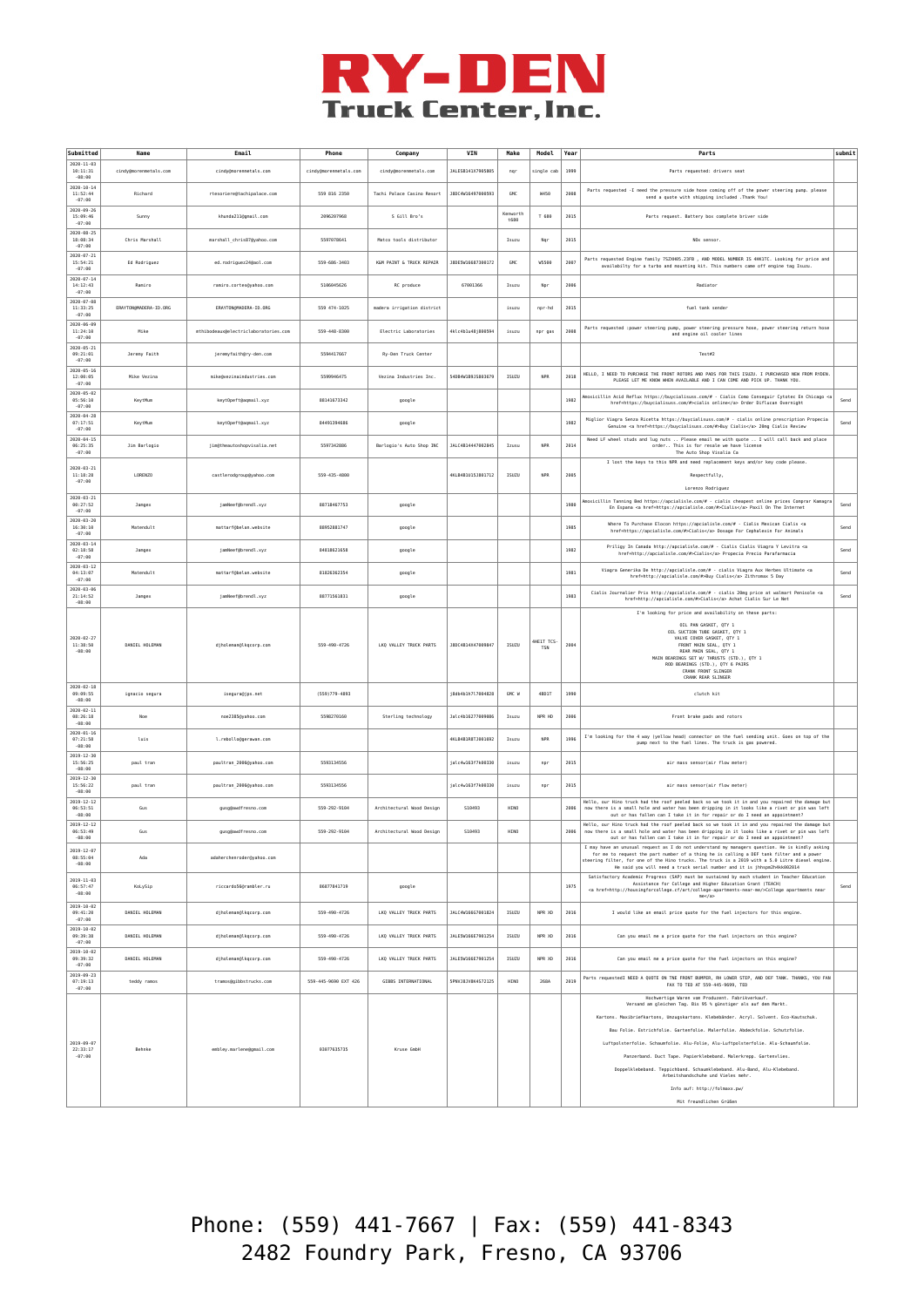

| Submitted                                | Name                  | Email                                | Phone                 | Company                    | VIN                | Make             | Model                   | Year | Parts                                                                                                                                                                                                                                                                                                                                                                                                                                                                                                                                                                                                                         |      |
|------------------------------------------|-----------------------|--------------------------------------|-----------------------|----------------------------|--------------------|------------------|-------------------------|------|-------------------------------------------------------------------------------------------------------------------------------------------------------------------------------------------------------------------------------------------------------------------------------------------------------------------------------------------------------------------------------------------------------------------------------------------------------------------------------------------------------------------------------------------------------------------------------------------------------------------------------|------|
| $2020 - 11 - 03$<br>10:11:31<br>$-08:00$ | cindy@morenmetals.com | cindy@morenmetals.com                | cindy@morenmetals.com | cindy@morenmetals.com      | 141 FSR141X7985885 | ngr              | single cab              | 1999 | Parts requested: drivers seat                                                                                                                                                                                                                                                                                                                                                                                                                                                                                                                                                                                                 |      |
| $2020 - 10 - 14$<br>11:52:44<br>$-07:00$ | Richard               | rtesoriere@tachipalace.com           | 559 816 2350          | Tachi Palace Casino Resort | J8DC4W16497000593  | GMC              | W450                    | 2008 | Parts requested -I need the pressure side hose coming off of the power steering pump. please<br>send a quote with shipping included . Thank You!                                                                                                                                                                                                                                                                                                                                                                                                                                                                              |      |
| $2020 - 09 - 26$<br>15:09:46<br>$-07:00$ | Sunny                 | khunda211@gmail.com                  | 2096207968            | S Gill Bro's               |                    | Kenworth<br>t680 | T 688                   | 2015 | Parts request. Battery box complete briver side                                                                                                                                                                                                                                                                                                                                                                                                                                                                                                                                                                               |      |
| $2020 - 08 - 25$<br>18:08:34<br>$-07:00$ | Chris Marshall        | marshall_chris87@yahoo.com           | 5597078641            | Matco tools distributor    |                    | Isuzu            | Ngr                     | 2015 | NOx sensor.                                                                                                                                                                                                                                                                                                                                                                                                                                                                                                                                                                                                                   |      |
| $2020 - 07 - 21$<br>15:54:21<br>$-07:00$ | Ed Rodriguez          | ed.rodriguez24@aol.com               | 559-686-3403          | K&M PAINT & TRUCK REPAIR   | J8DE5W16687300172  | GMC              | <b>WS500</b>            | 2007 | Parts requested Engine family 7SZXH05.23FB , AND MODEL NUMBER IS 4HK1TC. Looking for price and<br>availabilty for a turbo and mounting kit. This numbers came off engine tag Isuzu.                                                                                                                                                                                                                                                                                                                                                                                                                                           |      |
| $2020 - 07 - 14$<br>14:12:43<br>$-07:00$ | Ramiro                | ramiro.cortes@yahoo.com              | 5106045626            | RC produce                 | 67001366           | Isuzu            | Npr                     | 2006 | Radiator                                                                                                                                                                                                                                                                                                                                                                                                                                                                                                                                                                                                                      |      |
| $2020 - 07 - 08$<br>11:33:25<br>$-07:00$ | ERAYTON/MADERA-ID.ORG | ERAYTON/MADERA-ID.ORG                | 559 474-1025          | madera irrigation district |                    | isuzu            | npr-hd                  | 2015 | fuel tank sender                                                                                                                                                                                                                                                                                                                                                                                                                                                                                                                                                                                                              |      |
| $2020 - 06 - 09$<br>11:24:10<br>$-07:00$ | Mike                  | mthibodeaux@electriclaboratories.com | 559-448-8300          | Electric Laboratories      | 4klc4b1u48i800594  | isuzu            | npr gas                 | 2008 | Parts requested : power steering pump, power steering pressure hose, power steering return hose<br>and engine oil cooler lines                                                                                                                                                                                                                                                                                                                                                                                                                                                                                                |      |
| $2020 - 05 - 21$<br>09:21:01<br>$-07:00$ | Jeremy Faith          | ieremvfaithØrv-den.com               | 5594417667            | Ry-Den Truck Center        |                    |                  |                         |      | Test2                                                                                                                                                                                                                                                                                                                                                                                                                                                                                                                                                                                                                         |      |
| $2020 - 05 - 16$<br>12:00:05<br>$-07:00$ | Mike Vezina           | mike@vezinaindustries.com            | 5599946475            | Vezina Industries Inc.     | 540B4W1B9JS803679  | ISUZU            | <b>NPR</b>              | 2018 | HELLO, I NEED TO PURCHASE THE FRONT ROTORS AND PADS FOR THIS ISUZU, I PURCHASED NEW FROM RYDEN.<br>PLEASE LET ME KNOW WHEN AVAILABLE AND I CAN COME AND PICK UP. THANK YOU.                                                                                                                                                                                                                                                                                                                                                                                                                                                   |      |
| $2020 - 05 - 02$<br>05:56:10<br>$-07:00$ | KeytMun               | keyt0peft@aqmail.xyz                 | 88141673342           | google                     |                    |                  |                         | 1982 | Amoxicillin Acid Reflux https://buycialisuss.com/# - Cialis Como Conseguir Cytotec En Chicago <a<br>href=https://buycialisuss.com/#&gt;cialis online Order Diflucan Overnight</a<br>                                                                                                                                                                                                                                                                                                                                                                                                                                          | Send |
| $2020 - 04 - 28$<br>07:17:51<br>$-07:00$ | KeytMun               | keyt0peft@aqmail.xyz                 | 84491394686           | google                     |                    |                  |                         | 1982 | Miglior Viagra Senza Ricetta https://buycialisuss.com/# - cialis online prescription Propecia<br>Genuine <a href="https://buycialisuss.com/#">Buy Cialis</a> 20mg Cialis Review                                                                                                                                                                                                                                                                                                                                                                                                                                               | Send |
| 2020-04-15<br>06:25:35<br>$-07:00$       | Jim Barlogio          | jim@theautoshopvisalia.net           | 5597342886            | Barlogio's Auto Shop INC   | JALC4B14447002845  | Izusu            | <b>NPR</b>              | 2014 | Need LF wheel studs and lug nuts  Please email me with quote  I will call back and place<br>order This is for resale we have license<br>The Auto Shop Visalia Ca                                                                                                                                                                                                                                                                                                                                                                                                                                                              |      |
| $2020 - 03 - 21$<br>11:18:28             | LORENZO               | castlerodgroup@yahoo.com             | 559-435-4800          |                            | 4KLB4B1U15J801712  | ISUZU            | <b>NPR</b>              | 2005 | I lost the keys to this NPR and need replacement keys and/or key code please.<br>Respectfully.                                                                                                                                                                                                                                                                                                                                                                                                                                                                                                                                |      |
| $-07:00$<br>$2020 - 03 - 21$             |                       |                                      |                       |                            |                    |                  |                         |      | Lorenzo Rodrigue;                                                                                                                                                                                                                                                                                                                                                                                                                                                                                                                                                                                                             |      |
| 00:27:52<br>$-07:00$<br>$2020 - 03 - 20$ | Jange>                | jamNeef@brendl.xyz                   | 88718467753           | google                     |                    |                  |                         | 1980 | Amoxicillin Tanning Bed https://apcialisle.com/# - cialis cheapest online prices Comprar Kamagra<br>En Espana <a href="https://apcialisle.com/#">Cialis</a> Paxil On The Internet                                                                                                                                                                                                                                                                                                                                                                                                                                             | Send |
| 16:30:10<br>$-07:00$<br>$2020 - 03 - 14$ | Matendult             | mattarf@belan.website                | 88952881747           | google                     |                    |                  |                         | 1985 | Where To Purchase Elocon https://apcialisle.com/# - Cialis Mexican Cialis <a<br>href=https://apcialisle.com/#&gt;Cialis Dosage For Cephalexin For Animals</a<br>                                                                                                                                                                                                                                                                                                                                                                                                                                                              | Send |
| 02:18:58<br>$-07:00$<br>$2020 - 03 - 12$ | Jangex                | jamNeef@brendl.xyz                   | 84818621658           | google                     |                    |                  |                         | 1982 | Priligy In Canada http://apcialisle.com/# - Cialis Cialis Viagra Y Levitra <a<br>href=http://apcialisle.com/#&gt;Cialis Propecia Precio Parafarmacia</a<br>                                                                                                                                                                                                                                                                                                                                                                                                                                                                   | Send |
| 04:13:07<br>$-07:00$                     | Matendult             | mattarf@belan.website                | 81826362354           | google                     |                    |                  |                         | 1981 | Viagra Generika De http://apcialisle.com/# - cialis Viagra Aux Herbes Ultimate <a<br>href=http://apcialisle.com/#&gt;Buy Cialis Zithromax 5 Day</a<br>                                                                                                                                                                                                                                                                                                                                                                                                                                                                        | Send |
| $2020 - 03 - 06$<br>21:14:52<br>$-08:00$ | Jangex                | jamNeef@brendl.xyz                   | 88771561831           | google                     |                    |                  |                         | 1983 | Cialis Journalier Prix http://apcialisle.com/# - cialis 20mg price at walmart Penisole <a<br>href=http://apcialisle.com/#&gt;Cialis Achat Cialis Sur Le Net</a<br>                                                                                                                                                                                                                                                                                                                                                                                                                                                            | Send |
| $2020 - 02 - 27$<br>11:38:50<br>$-08:00$ | DANIEL HOLEMAN        | djholeman@lkqcorp.com                | 559-490-4726          | LKQ VALLEY TRUCK PARTS     | J8DC4B14X47009847  | ISUZU            | 4HE1T TCS<br><b>TSN</b> | 2004 | I'm looking for price and availability on these parts:<br>OIL PAN GASKET, OTY 1<br>OIL SUCTION TUBE GASKET, OTY 1<br>VALVE COVER GASKET, QTY 1<br>FRONT MAIN SEAL, QTY 1<br>REAR MAIN SEAL, QTY 1<br>MAIN BEARINGS SET W/ THRUSTS (STD.), QTY 1<br>ROD BEARINGS (STD.), QTY 6 PAIRS<br>CRANK FRONT SLINGER<br>CRANK REAR SLINGER                                                                                                                                                                                                                                                                                              |      |
| $2020 - 02 - 18$<br>09:09:55<br>$-08:00$ | ignacio segura        | isegura@jps.net                      | (559) 779-4893        |                            | j8db4b1h717004828  | GMC W            | 4801T                   | 1990 | clutch kit                                                                                                                                                                                                                                                                                                                                                                                                                                                                                                                                                                                                                    |      |
| $2020 - 02 - 1$<br>08:26:18<br>$-08:00$  | Noe                   | noe2385@yahoo.com                    | 5598270160            | Sterling technology        | Jalc4b16277009086  | Isuzu            | NPR HD                  | 2006 | Front brake pads and rotors                                                                                                                                                                                                                                                                                                                                                                                                                                                                                                                                                                                                   |      |
| $2020 - 01 - 16$<br>07:21:58<br>$-08:00$ | luis                  | l.rebollo@gerawan.com                |                       |                            | 4KLB4B1R8TJ001692  | Isuzu            | <b>NPR</b>              | 1996 | I'm looking for the 4 way (yellow head) connector on the fuel sending unit. Goes on top of the<br>pump next to the fuel lines. The truck is gas powered.                                                                                                                                                                                                                                                                                                                                                                                                                                                                      |      |
| 2019-12-30<br>15:56:25<br>$-08:00$       | paul tran             | paultran_2006@yahoo.com              | 5593134556            |                            | ialc4w163f7k00330  | isuzu            | npr                     | 2015 | air mass sensor(air flow meter)                                                                                                                                                                                                                                                                                                                                                                                                                                                                                                                                                                                               |      |
| 2019-12-30<br>15:56:22<br>$-08:00$       | paul tran             | paultran_2006@yahoo.com              | 5593134556            |                            | jalc4w163f7k00330  | isuzu            | npr                     | 2015 | air mass sensor(air flow meter)                                                                                                                                                                                                                                                                                                                                                                                                                                                                                                                                                                                               |      |
| $2019 - 12 - 12$<br>06:53:51<br>$-08:00$ | Gus                   | gusg@awdfresno.com                   | 559-292-9104          | Architectural Wood Design  | S10493             | HINO             |                         | 2006 | Hello, our Hino truck had the roof peeled back so we took it in and you repaired the damage but<br>now there is a small hole and water has been dripping in it looks like a rivet or pin was left<br>out or has fallen can I take it in for repair or do I need an appointment?                                                                                                                                                                                                                                                                                                                                               |      |
| $2019 - 12 - 12$<br>06:53:49<br>$-08:00$ | Gus                   | gusg@awdfresno.com                   | 559-292-9104          | Architectural Wood Design  | S10493             | HINO             |                         | 2006 | Hello, our Hino truck had the roof peeled back so we took it in and you repaired the damage but<br>now there is a small hole and water has been dripping in it looks like a rivet or pin was left<br>out or has fallen can I take it in for repair or do I need an appointment?                                                                                                                                                                                                                                                                                                                                               |      |
| $2019 - 12 - 07$<br>08:55:04<br>$-08:00$ | Ada                   | adaherchenroder@yahoo.com            |                       |                            |                    |                  |                         |      | I may have an unusual request as I do not understand my managers question. He is kindly asking<br>for me to request the part number of a thing he is calling a DEF tank filter and a power<br>steering filter, for one of the Hino trucks. The truck is a 2019 with a 5.0 Litre diesel engine<br>He said you will need a truck serial number and it is jhhspm2h4kk002014                                                                                                                                                                                                                                                      |      |
| $2019 - 11 - 03$<br>06:57:47<br>$-08:00$ | KoLySip               | riccardo56@rambler.ru                | 86877841719           | google                     |                    |                  |                         | 1975 | Satisfactory Academic Progress (SAP) must be sustained by each student in Teacher Education<br>Assistance for College and Higher Education Grant (TEACH)<br><a href="http://housingforcollege.cf/art/college-apartments-near-me/">College apartments near<br/>me</a>                                                                                                                                                                                                                                                                                                                                                          | Send |
| $2019 - 10 - 02$<br>09:41:20<br>$-07:00$ | DANIEL HOLEMAN        | djholeman@lkqcorp.com                | 559-490-4726          | LKQ VALLEY TRUCK PARTS     | JALC4W166G7001824  | ISUZU            | NPR XD                  | 2016 | I would like an email price quote for the fuel injectors for this engine.                                                                                                                                                                                                                                                                                                                                                                                                                                                                                                                                                     |      |
| $2019 - 10 - 02$<br>09:39:38<br>$-07:00$ | DANIEL HOLEMAN        | diholeman@lkocorp.com                | 559-490-4726          | LKQ VALLEY TRUCK PARTS     | JALESW166E7901254  | ISUZU            | NPR XD                  | 2016 | Can you email me a price quote for the fuel injectors on this engine?                                                                                                                                                                                                                                                                                                                                                                                                                                                                                                                                                         |      |
| $2019 - 10 - 02$<br>09:39:32<br>$-07:00$ | DANIEL HOLEMAN        | djholeman@lkqcorp.com                | 559-490-4726          | LKQ VALLEY TRUCK PARTS     | JALESW166E7901254  | ISUZU            | NPR XD                  | 2016 | Can you email me a price quote for the fuel injectors on this engine?                                                                                                                                                                                                                                                                                                                                                                                                                                                                                                                                                         |      |
| $2019 - 09 - 23$<br>07:19:13<br>$-07:00$ | teddy ramos           | tramos@gibbstrucks.com               | 559-445-9698 EXT 426  | <b>GIBBS INTERNATIONAL</b> | 5PNVJ8JV8K4S72125  | HINO             | 268A                    | 2019 | Parts requestedI NEED A QUOTE ON TNE FRONT BUMPER, RH LOWER STEP, AND DEF TANK. THANKS, YOU FAN<br>FAX TO TED AT 559-445-9699, TED                                                                                                                                                                                                                                                                                                                                                                                                                                                                                            |      |
| $2019 - 09 - 07$<br>22:33:17<br>$-07:00$ | Behnke                | embley.marlene@gmail.com             | 03077635735           | Kruse GmbH                 |                    |                  |                         |      | Hochwertige Waren vom Produzent. Fabrikverkauf.<br>Versand am gleichen Tag. Bis 95 % günstiger als auf dem Markt.<br>Kartons. Maxibriefkartons, Umzugskartons. Klebebänder. Acryl. Solvent. Eco-Kautschuk.<br>Bau Folie. Estrichfolie. Gartenfolie. Malerfolie. Abdeckfolie. Schutzfolie.<br>Luftpolsterfolie. Schaumfolie. Alu-Folie, Alu-Luftpolsterfolie. Alu-Schaumfolie.<br>Panzerband. Duct Tape. Papierklebeband. Malerkrepp. Gartenvlies.<br>Doppelklebeband. Teppichband. Schaumklebeband. Alu-Band, Alu-Klebeband.<br>Arbeitshandschuhe und Vieles mehr.<br>Info auf: http://folmaxx.pw/<br>Mit freundlichen Grüßen |      |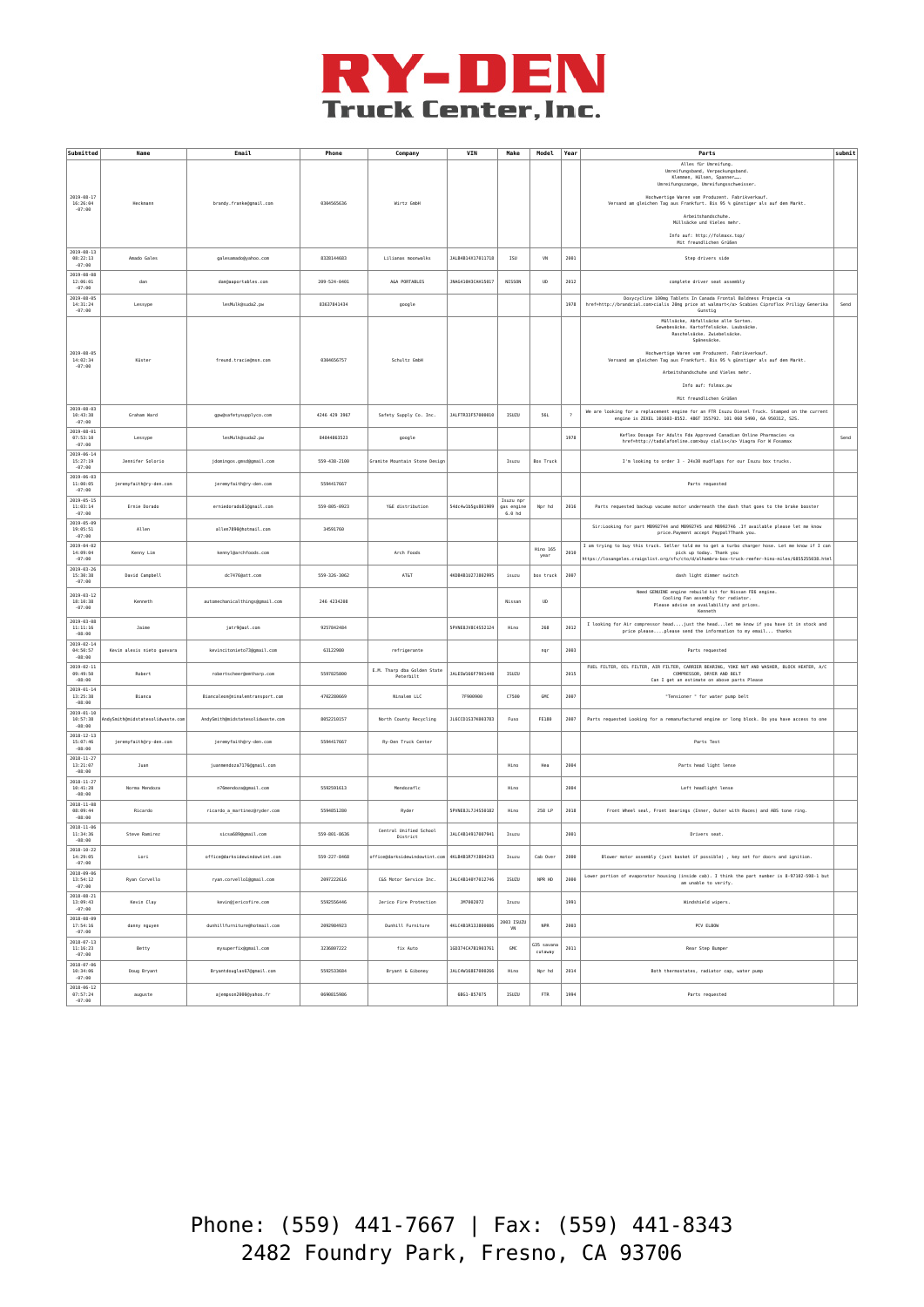

| Submitted                                | Name                             | Email                            | Phone         | Company                                         | VIN               | Make                             | Model                | Year | Parts                                                                                                                                                                                                                           | submit |
|------------------------------------------|----------------------------------|----------------------------------|---------------|-------------------------------------------------|-------------------|----------------------------------|----------------------|------|---------------------------------------------------------------------------------------------------------------------------------------------------------------------------------------------------------------------------------|--------|
|                                          |                                  |                                  |               |                                                 |                   |                                  |                      |      | Alles für Umreifung.<br>Unreifungsband, Verpackungsband<br>Klemmen, Hülsen, Spanner.<br>Umreifungszange, Umreifungsschweisser.                                                                                                  |        |
| $2019 - 08 - 1$<br>16:26:04<br>$-07:00$  | Heckmann                         | brandy.franke@gmail.com          | 0304565636    | Wirtz GmbH                                      |                   |                                  |                      |      | Hochwertige Waren vom Produzent. Fabrikverkauf.<br>Versand am gleichen Tag aus Frankfurt. Bis 95 % günstiger als auf dem Markt.                                                                                                 |        |
|                                          |                                  |                                  |               |                                                 |                   |                                  |                      |      | Arbeitshandschuhe.<br>Müllsäcke und Vieles mehr.                                                                                                                                                                                |        |
|                                          |                                  |                                  |               |                                                 |                   |                                  |                      |      | Info auf: http://folmaxx.top/<br>Mit freundlichen Grüßen                                                                                                                                                                        |        |
| $2019 - 08 - 13$<br>08:22:13<br>$-07:00$ | Amado Gales                      | galesamado@yahoo.com             | 8328144683    | Lilianas moonwalks                              | JALB4B14X17011718 | ISU                              | VN                   | 2001 | Step drivers side                                                                                                                                                                                                               |        |
| 2019-08-08<br>12:06:01<br>$-07:00$       | dan                              | dan@aaportables.com              | 209-524-0401  | A&A PORTABLES                                   | JNAG410H3CAH15017 | NISSON                           | <b>UD</b>            | 2012 | complete driver seat assembly                                                                                                                                                                                                   |        |
| $2019 - 08 - 05$<br>14:31:24<br>$-07:00$ | Lessype                          | lesMulk@suda2.pw                 | 83637841434   | google                                          |                   |                                  |                      | 1978 | Doxycycline 100mg Tablets In Canada Frontal Baldness Propecia <a<br>href=http://brandcial.com&gt;cialis 20mg price at walmart Scabies Ciproflox Priligy Generika<br/>Gunstig</a<br>                                             | Send   |
|                                          |                                  |                                  |               |                                                 |                   |                                  |                      |      | Müllsäcke, Abfallsäcke alle Sorten.<br>Gewebesäcke. Kartoffelsäcke. Laubsäcke.<br>Raschelsäcke. Zwiebelsäcke.<br>Spänesäcke.                                                                                                    |        |
| $2019 - 08 - 05$<br>14:02:34<br>$-07:00$ | Küster                           | freund.tracie@msn.com            | 0304656757    | Schultz GmbH                                    |                   |                                  |                      |      | Hochwertige Waren vom Produzent. Fabrikverkauf.<br>Versand am gleichen Tag aus Frankfurt. Bis 95 % günstiger als auf dem Markt.                                                                                                 |        |
|                                          |                                  |                                  |               |                                                 |                   |                                  |                      |      | Arbeitshandschuhe und Vieles mehr.<br>Info auf: folmax.pw                                                                                                                                                                       |        |
|                                          |                                  |                                  |               |                                                 |                   |                                  |                      |      | Mit freundlichen Grüßen                                                                                                                                                                                                         |        |
| $2019 - 08 - 03$<br>10:43:38<br>$-07:00$ | Graham Ward                      | gpw@safetysupplyco.com           | 4246 429 3967 | Safety Supply Co. Inc.                          | JALFTR33F57000010 | ISUZU                            | <b>56L</b>           |      | We are looking for a replacement engine for an FTR Isuzu Diesel Truck. Stamped on the current<br>engine is ZEXEL 101603-8552. 486T 355792. 101 060 5490, 6A 950312, S2S.                                                        |        |
| $2019 - 08 - 01$<br>07:53:10<br>$-07:00$ | Lessype                          | lesMulk@suda2.pw                 | 84844863523   | google                                          |                   |                                  |                      | 1978 | Keflex Dosage For Adults Fda Approved Canadian Online Pharmacies <a<br>href=http://tadalafonline.com&gt;buy cialis Viagra For W Fosamax</a<br>                                                                                  | Send   |
| 2019-06-14<br>15:27:19<br>$-07:00$       | Jennifer Solorio                 | jdoningos.gmsd@gmail.com         | 559-438-2188  | Granite Mountain Stone Design                   |                   | Isuzu                            | <b>Box Truck</b>     |      | I'm looking to order 3 - 24x30 mudflaps for our Isuzu box trucks.                                                                                                                                                               |        |
| 2019-06-03<br>11:00:05<br>$-07:00$       | jeremyfaith@ry-den.com           | jeremyfaith@ry-den.com           | 5594417667    |                                                 |                   |                                  |                      |      | Parts requested                                                                                                                                                                                                                 |        |
| $2019 - 05 - 15$<br>11:03:14<br>$-07:00$ | Ernie Dorado                     | erniedorado81@gmail.com          | 559-805-0923  | Y&E distribution                                | 54dc4w1b5gs801909 | Isuzu npr<br>gas engine<br>6.0hd | Npr hd               | 2016 | Parts requested backup vacume motor underneath the dash that goes to the brake booster                                                                                                                                          |        |
| 2019-05-09<br>19:05:51<br>$-07:00$       | Allen                            | allen7890@hotmail.com            | 34591760      |                                                 |                   |                                  |                      |      | Sir:Looking for part MB992744 and MB992745 and MB992746 .If available please let me know<br>price.Payment accept Paypal?Thank you.                                                                                              |        |
| $2019 - 04 - 02$<br>14:09:04<br>$-07:00$ | Kenny Lim                        | kennyl@archfoods.com             |               | Arch Foods                                      |                   |                                  | Hino 165<br>year     | 2010 | I am trying to buy this truck. Seller told me to get a turbo charger hose. Let me know if I can<br>pick up today. Thank you<br>https://losangeles.craigslist.org/sfv/cto/d/alhambra-box-truck-reefer-hino-miles/6855255038.html |        |
| $2019 - 03 - 26$<br>15:30:38<br>$-07:00$ | David Campbell                   | dc7476@att.com                   | 559-326-3062  | AT&T                                            | 4KDB4B1U27J802995 | isuzu                            | box truck            | 2007 | dash light dimmer switch                                                                                                                                                                                                        |        |
| $2019 - 03 - 12$<br>18:10:38<br>$-07:00$ | Kenneth                          | automechanicalthings@gmail.com   | 246 4234208   |                                                 |                   | Nissan                           | UD                   |      | Need GENUINE engine rebuild kit for Nissan FE6 engine.<br>Cooling Fan assembly for radiator.<br>Please advise on availability and prices.<br>Kenneth                                                                            |        |
| 2019-03-08<br>11:11:16<br>$-08:00$       | Jaime                            | jatr9@aol.com                    | 9257842484    |                                                 | SPVNE8JV8C4S52124 | Hino                             | 268                  | 2012 | I looking for Air compressor headjust the headlet me know if you have it in stock and<br>price pleaseplease send the information to my email thanks                                                                             |        |
| $2019 - 02 - 14$<br>04:50:57<br>$-08:00$ | Kevin alexis nieto guevara       | kevincitonieto73@gmail.com       | 63122980      | refrigerante                                    |                   |                                  | ngr                  | 2003 | Parts requested                                                                                                                                                                                                                 |        |
| $2019 - 02 - 11$<br>09:49:50<br>$-08:00$ | Robert                           | robertscheer@emtharp.com         | 5597825800    | E.M. Tharp dba Golden State<br>Peterbilt        | JALESW166F7901448 | ISUZU                            |                      | 2015 | FUEL FILTER, OIL FILTER, AIR FILTER, CARRIER BEARING, YOKE NUT AND WASHER, BLOCK HEATER, A/C<br>COMPRESSOR, DRYER AND BELT<br>Can I get an estimate on above parts Please                                                       |        |
| $2019 - 01 - 14$<br>13:25:38<br>$-08:00$ | Bianca                           | Biancaleon@ninalemtransport.com  | 4702280669    | Ninalem LLC                                     | 7F900900          | C7588                            | GMC                  | 2007 | "Tensioner " for water pump belt                                                                                                                                                                                                |        |
| $2019 - 01 - 10$<br>10:57:38<br>$-08:00$ | AndySmith@midstatesolidwaste.com | AndySmith@midstatesolidwaste.com | 8052210157    | North County Recycling                          | JL6CCD1S37K003783 | Fuso                             | FE189                | 2007 | Parts requested Looking for a remanufactured engine or long block. Do you have access to one                                                                                                                                    |        |
| $2018 - 12 - 13$<br>15:07:46<br>$-08:00$ | jeremyfaith@ry-den.com           | jeremyfaith@ry-den.com           | 5594417667    | Ry-Den Truck Center                             |                   |                                  |                      |      | Parts Test                                                                                                                                                                                                                      |        |
| $2018 - 11 - 27$<br>13:21:07<br>$-08:00$ | Juan                             | juanmendoza7176@gmail.com        |               |                                                 |                   | Hino                             | Hea                  | 2004 | Parts head light lense                                                                                                                                                                                                          |        |
| $2018 - 11 - 27$<br>10:41:28<br>$-08:00$ | Norma Mendoza                    | n76mendoza@gmail.com             | 5592591613    | Mendozaflc                                      |                   | Hino                             |                      | 2004 | Left headlight lense                                                                                                                                                                                                            |        |
| $2018 - 11 - 08$<br>08:09:44<br>$-08:00$ | Ricardo                          | ricardo_a_martinez@ryder.com     | 5594851280    | Ryder                                           | SPVNE8JL7J4S50182 | Hino                             | 258 LP               | 2018 | Front Wheel seal, Front bearings (Inner, Outer with Races) and ABS tone ring.                                                                                                                                                   |        |
| $2018 - 11 - 06$<br>11:34:36<br>$-08:00$ | Steve Ramirez                    | sicsa689@gmail.com               | 559-801-8636  | Central Unified School<br>District              | JALC4B14917007941 | Isuzu                            |                      | 2001 | Drivers seat.                                                                                                                                                                                                                   |        |
| $2018 - 10 - 22$<br>14:29:05<br>$-07:00$ | Lori                             | office@darksidewindowtint.com    | 559-227-8468  | office@darksidewindowtint.com 4KLB4B1R7YJ804243 |                   | Isuzu                            | Cab Over             | 2000 | Blower motor assembly (just basket if possible) , key set for doors and ignition.                                                                                                                                               |        |
| 2018-09-06<br>13:54:12<br>$-07:00$       | Ryan Corvello                    | rvan.corvello1@gmail.com         | 2097222616    | C&S Motor Service Inc.                          | JALC4B140Y7012746 | <b>ISUZU</b>                     | NPR HD               | 2000 | Lower portion of evaporator housing (inside cab). I think the part number is 8-97102-598-1 but<br>am unable to verify.                                                                                                          |        |
| 2018-08-21<br>13:09:43<br>$-07:00$       | Kevin Clay                       | kevin@jericofire.com             | 5592556446    | Jerico Fire Protection                          | JM7002072         | Izuzu                            |                      | 1991 | Windshield wipers.                                                                                                                                                                                                              |        |
| $2018 - 08 - 09$<br>17:54:16<br>$-07:00$ | danny nguyen                     | dunhillfurniture@hotmail.com     | 2092984923    | <b>Dunhill Furniture</b>                        | 4KLC4B1R13J800086 | 2003 ISUZU<br>VN                 | <b>NPR</b>           | 2003 | PCV ELBOW                                                                                                                                                                                                                       |        |
| $2018 - 07 - 13$<br>11:16:23<br>$-07:00$ | Betty                            | mysuperfix@gmail.com             | 3236807222    | fix Auto                                        | 1GD374CA7B1903761 | GMC                              | G35 savan<br>cutaway | 2011 | Rear Step Bumper                                                                                                                                                                                                                |        |
| $2018 - 07 - 06$<br>10:34:06<br>$-07:00$ | Doug Bryant                      | Bryantdouglas67@gmail.com        | 5592533684    | Bryant & Giboney                                | JALC4W168E7000266 | Hing                             | Npr hd               | 2014 | Both thermostates, radiator cap, water pump                                                                                                                                                                                     |        |
| $2018 - 06 - 12$<br>07:57:24<br>$-07:00$ | auguste                          | ajempson2000@yahoo.fr            | 0690815986    |                                                 | 6BG1-857075       | ISUZU                            | FTR                  | 1994 | Parts requested                                                                                                                                                                                                                 |        |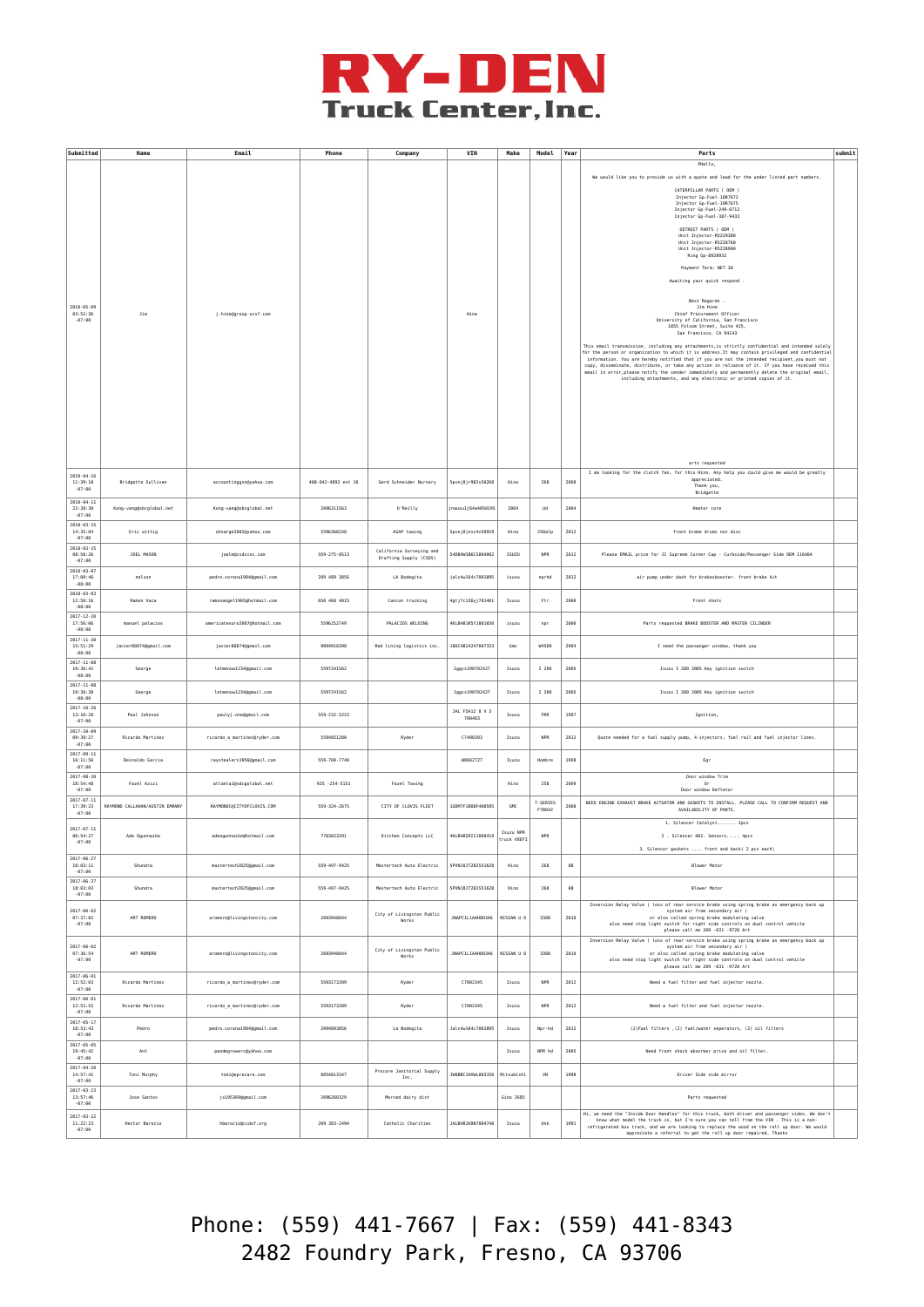

| Submitted                                                                | Name                           | Email                                            | Phone               | Company                                            | VIN                       | Make                     | Model              | Year | Parts                                                                                                                                                                                                                                                                                                                                                                                                                                                                                                                                                                                                                                                                                                                                                                                                                                                                                                                                                                                                                                                                                                                                                                                                                                                                                                                       | submit |
|--------------------------------------------------------------------------|--------------------------------|--------------------------------------------------|---------------------|----------------------------------------------------|---------------------------|--------------------------|--------------------|------|-----------------------------------------------------------------------------------------------------------------------------------------------------------------------------------------------------------------------------------------------------------------------------------------------------------------------------------------------------------------------------------------------------------------------------------------------------------------------------------------------------------------------------------------------------------------------------------------------------------------------------------------------------------------------------------------------------------------------------------------------------------------------------------------------------------------------------------------------------------------------------------------------------------------------------------------------------------------------------------------------------------------------------------------------------------------------------------------------------------------------------------------------------------------------------------------------------------------------------------------------------------------------------------------------------------------------------|--------|
| $2018 - 05 - 09$<br>03:52:36<br>$-07:00$<br>$2018 - 04 - 16$<br>11:39:18 | Jim<br>Bridgette Sullivan      | j.hine@group-ucsf.com<br>accountinggsn@yahoo.com | 408-842-4892 ext 16 | Gerd Schneider Nurserv                             | Hine<br>Spvnj8jr982s50268 | Hino                     | 268                | 2008 | PHello,<br>We would like you to provide us with a quote and lead for the under listed part numbers.<br>CATERPILLAR PARTS ( OEM )<br>Injector Gp-Fuel-10R7672<br>Injector Gp-Fuel-10R7675<br>Injector Gp-Fuel-249-0712<br>Injector Gp-Fuel-387-9433<br>DETROIT PARTS ( OEM )<br>Unit Injector-R5229380<br>Unit Injector-R5228760<br>Unit Injector-R5228900<br>Ring Gp-8928932<br>Payment Term: NET 30<br>Awaiting your quick respond<br>Best Regards.<br>Jim Hine<br>Chief Procurement Officer<br>University of California, San Francisco<br>1855 Folsom Street, Suite 425,<br>San Francisco, CA 94143<br>This email transmission, including any attachments, is strictly confidential and intended solely<br>for the person or organization to which it is address. It may contain privileged and confidential<br>information. You are hereby notified that if you are not the intended recipient, you must not<br>copy, disseminate, distribute, or take any action in reliance of it. If you have received this<br>email in error, please notify the sender immediately and permanently delete the original email,<br>including attachments, and any electronic or printed copies of it.<br>arts requested<br>I am looking for the clutch fan, for this Hino. Any help you could give me would be greatly<br>appreciated. |        |
| $-07:00$<br>$2018 - 04 - 11$<br>22:38:30                                 | Kong-vang@sbcglobal.net        | Kong-vang@sbcglobal.net                          | 2096311563          | 0'Reilly                                           | jnauxulj64a4050195        | 2004                     | Ud                 | 2004 | Thank you,<br>Bridgette<br>Heater core                                                                                                                                                                                                                                                                                                                                                                                                                                                                                                                                                                                                                                                                                                                                                                                                                                                                                                                                                                                                                                                                                                                                                                                                                                                                                      |        |
| $-07:00$<br>$2018 - 03 - 15$<br>14:35:04                                 | Eric wittio                    | ohsarge2002@yahoo.com                            | 5596368248          | ASAP towing                                        | Spvnj8jnxc4s50919         | Hino                     | 258alp             | 2012 | front brake drums not disc                                                                                                                                                                                                                                                                                                                                                                                                                                                                                                                                                                                                                                                                                                                                                                                                                                                                                                                                                                                                                                                                                                                                                                                                                                                                                                  |        |
| $-07:00$<br>$2018 - 03 - 15$<br>08:50:26                                 | JOEL MASON                     | joelm@csdsinc.com                                | 559-275-0513        | California Surveying and<br>Drafting Supply (CSDS) | 540B4W1B6CS804002         | ISUZU                    | <b>NPR</b>         | 2012 | Please EMAIL price for JC Supreme Corner Cap - Curbside/Passenger Side OEM 116484                                                                                                                                                                                                                                                                                                                                                                                                                                                                                                                                                                                                                                                                                                                                                                                                                                                                                                                                                                                                                                                                                                                                                                                                                                           |        |
| $-07:00$<br>$2018 - 03 - 07$<br>17:00:46<br>$-08:00$                     | nelson                         | pedro.corona1984@gmail.com                       | 209 489 3856        | LA Bodegita                                        | jalc4w164c7001895         | isuzu                    | nprhd              | 2012 | air pump under dash for brakesbooster. front brake kit                                                                                                                                                                                                                                                                                                                                                                                                                                                                                                                                                                                                                                                                                                                                                                                                                                                                                                                                                                                                                                                                                                                                                                                                                                                                      |        |
| $2018 - 03 - 03$<br>12:50:16<br>$-08:00$                                 | Ramon Vaca                     | ramonangel1965@hotmail.com                       | 650 468 4015        | Cancun trucking                                    | 4gtj7c136yj701401         | Isusu                    | Ftr                | 2006 | Front shots                                                                                                                                                                                                                                                                                                                                                                                                                                                                                                                                                                                                                                                                                                                                                                                                                                                                                                                                                                                                                                                                                                                                                                                                                                                                                                                 |        |
| $2017 - 12 - 20$<br>17:56:06<br>$-08:00$                                 | manuel palacios                | americatesoro2007@hotmail.com                    | 5596252749          | PALACIOS WELDING                                   | 4KLB4B1R5YJ801650         | isuzu                    | npr                | 2000 | Parts requested BRAKE BOOSTER AND MASTER CILINDER                                                                                                                                                                                                                                                                                                                                                                                                                                                                                                                                                                                                                                                                                                                                                                                                                                                                                                                                                                                                                                                                                                                                                                                                                                                                           |        |
| $2017 - 11 - 30$<br>15:51:29<br>$-08:00$                                 | javier80074@gmail.com          | javier80074@gmail.com                            | 9094918390          | Red lining logistics inc.                          | J8DC4B14247007333         | Gmc                      | W4500              | 2004 | I need the passanger window, thank you                                                                                                                                                                                                                                                                                                                                                                                                                                                                                                                                                                                                                                                                                                                                                                                                                                                                                                                                                                                                                                                                                                                                                                                                                                                                                      |        |
| $2017 - 11 - 08$<br>19:36:41<br>$-08:00$                                 | George                         | letmenow1234@gmail.com                           | 5597241562          |                                                    | lggcs198702427            | Isuzu                    | I 280              | 2005 | Isuzu I 280 2005 Key ignition switch                                                                                                                                                                                                                                                                                                                                                                                                                                                                                                                                                                                                                                                                                                                                                                                                                                                                                                                                                                                                                                                                                                                                                                                                                                                                                        |        |
| $2017 - 11 - 08$<br>19:36:38<br>$-08:00$                                 | George                         | letmenow1234@gmail.com                           | 5597241562          |                                                    | lggcs198702427            | Isuzu                    | I 280              | 2005 | Isuzu I 280 2005 Key ignition switch                                                                                                                                                                                                                                                                                                                                                                                                                                                                                                                                                                                                                                                                                                                                                                                                                                                                                                                                                                                                                                                                                                                                                                                                                                                                                        |        |
| $2017 - 10 - 26$<br>13:10:28<br>$-07:00$                                 | Paul Johnson                   | paulyj.one@gmail.com                             | 559-232-5223        |                                                    | JAL F5A12 8 V 3<br>700483 | Isuzu                    | FRR                | 1997 | Ignition,                                                                                                                                                                                                                                                                                                                                                                                                                                                                                                                                                                                                                                                                                                                                                                                                                                                                                                                                                                                                                                                                                                                                                                                                                                                                                                                   |        |
| $2017 - 10 - 09$<br>09:39:27<br>$-07:00$                                 | Ricardo Martinez               | ricardo_a_martinez@ryder.com                     | 5594851280          | Ryder                                              | C7400393                  | Isuzu                    | <b>NPR</b>         | 2012 | Quote needed for a fuel supply pump, 4-injectors, fuel rail and fuel injector lines.                                                                                                                                                                                                                                                                                                                                                                                                                                                                                                                                                                                                                                                                                                                                                                                                                                                                                                                                                                                                                                                                                                                                                                                                                                        |        |
| $2017 - 09 - 11$<br>16:11:56<br>$-07:00$                                 | Reinaldo Garcia                | raystealers1956@gmail.com                        | 559-709-7740        |                                                    | W8662727                  | Isuzu                    | Hombre             | 1998 | Egr                                                                                                                                                                                                                                                                                                                                                                                                                                                                                                                                                                                                                                                                                                                                                                                                                                                                                                                                                                                                                                                                                                                                                                                                                                                                                                                         |        |
| $2017 - 08 - 20$<br>18:54:48<br>$-07:00$                                 | Fazel Azizi                    | atlanta1@sdcgolobal.net                          | $925 - 254 - 5151$  | Fazel Towing                                       |                           | Hino                     | 258                | 2009 | Door window Trim<br>0r<br>Door window Defletor                                                                                                                                                                                                                                                                                                                                                                                                                                                                                                                                                                                                                                                                                                                                                                                                                                                                                                                                                                                                                                                                                                                                                                                                                                                                              |        |
| $2017 - 07 - 11$<br>17:39:23<br>$-07:00$                                 | RAYMOND CALLAHAN/AUSTIN EMRANY | RAYMONDCRCTTYOFCLOVTS.COM                        | 559-324-2675        | CITY OF CLOVIS FLEET                               | 1GDM7F1B08F400595         | GMC                      | T-SERIES<br>F7B042 | 2008 | NEED ENGINE EXHAUST BRAKE ACTUATOR AND GASKETS TO INSTALL. PLEASE CALL TO CONFIRM REQUEST AND<br>AVAILABILITY OF PARTS                                                                                                                                                                                                                                                                                                                                                                                                                                                                                                                                                                                                                                                                                                                                                                                                                                                                                                                                                                                                                                                                                                                                                                                                      |        |
| $2017 - 07 - 11$<br>06:54:27<br>$-07:00$                                 | Ade Ogunnaike                  | adeogunnaike@hotmail.com                         | 7703653291          | Kitchen Concepts LLC                               | 4KLB4BIRIIJ800419         | Isuzu NPR<br>truck V8EFI | <b>NPR</b>         |      | 1. Silencer Catalyst 2pcs<br>2 . Silencer HO2. Sensors 4pcs<br>3. Silencer gaskets  front and back( 2 pcs each)                                                                                                                                                                                                                                                                                                                                                                                                                                                                                                                                                                                                                                                                                                                                                                                                                                                                                                                                                                                                                                                                                                                                                                                                             |        |
| $2017 - 06 - 27$<br>18:03:11<br>$-07:00$                                 | Shundra                        | mastertech2825@gmail.com                         | 559-497-9425        | Mastertech Auto Electric                           | 5PVNJ8JT282S51628         | Hino                     | 268                | 68   | Blower Motor                                                                                                                                                                                                                                                                                                                                                                                                                                                                                                                                                                                                                                                                                                                                                                                                                                                                                                                                                                                                                                                                                                                                                                                                                                                                                                                |        |
| $2017 - 06 - 27$<br>18:03:03<br>$-07:00$                                 | Shundra                        | mastertech2825@gmail.com                         | 559-497-9425        | Mastertech Auto Electric                           | SPVNJ8JT282S51628         | Hino                     | 268                | 68   | <b>Blower Motor</b>                                                                                                                                                                                                                                                                                                                                                                                                                                                                                                                                                                                                                                                                                                                                                                                                                                                                                                                                                                                                                                                                                                                                                                                                                                                                                                         |        |
| $2017 - 06 - 02$<br>07:37:02<br>$-07:00$                                 | ART ROMERO                     | aromero@livingstoncity.com                       | 2093948044          | City of Livingston Public<br>Works                 | JNAPC1L1AAH80346          | NISSAN U D               | 3300               | 2010 | Inversion Relay Valve ( loss of rear service brake using spring brake as emergency back up<br>system air from secondary air )<br>or also called spring brake modulating valve<br>also need stop light switch for right side controls on dual control vehicle<br>please call me 209 -631 -9726 Art                                                                                                                                                                                                                                                                                                                                                                                                                                                                                                                                                                                                                                                                                                                                                                                                                                                                                                                                                                                                                           |        |
| $2017 - 06 - 02$<br>07:36:54<br>$-07:00$                                 | ART ROMERO                     | aromero@livingstoncity.com                       | 2093948044          | City of Livingston Public<br>Works                 | <b>REFRIGALL LONGE</b>    | NISSAN U D               | 3300               | 2010 | Inversion Relay Valve ( loss of rear service brake using spring brake as emergency back up<br>system air from secondary air )<br>or also called spring brake modulating valve<br>also need stop light switch for right side controls on dual control vehicle<br>please call me 209 -631 -9726 Art                                                                                                                                                                                                                                                                                                                                                                                                                                                                                                                                                                                                                                                                                                                                                                                                                                                                                                                                                                                                                           |        |
| $2017 - 06 - 01$<br>12:52:03<br>$-07:00$                                 | Ricardo Martinez               | ricardo_a_martinez@ryder.com                     | 5593173209          | Ryder                                              | C7002345                  | Isuzu                    | <b>NPR</b>         | 2012 | Need a fuel filter and fuel injector nozzle.                                                                                                                                                                                                                                                                                                                                                                                                                                                                                                                                                                                                                                                                                                                                                                                                                                                                                                                                                                                                                                                                                                                                                                                                                                                                                |        |
| $2017 - 06 - 01$<br>12:51:55<br>$-07:00$                                 | Ricardo Martinez               | ricardo_a_martinez@ryder.com                     | 5593173209          | Ryder                                              | C7002345                  | Isuzu                    | <b>NPR</b>         | 2012 | Need a fuel filter and fuel injector nozzle.                                                                                                                                                                                                                                                                                                                                                                                                                                                                                                                                                                                                                                                                                                                                                                                                                                                                                                                                                                                                                                                                                                                                                                                                                                                                                |        |
| $2017 - 05 - 17$<br>18:53:43<br>$-07:00$                                 | Pedro                          | pedro.corona1984@gmail.com                       | 2094893856          | La Bodegita                                        | Jalc4w164c7001895         | Isuzu                    | Npr-hd             | 2012 | (2) Fuel filters , (2) fuel/water seperators, (2) oil filters                                                                                                                                                                                                                                                                                                                                                                                                                                                                                                                                                                                                                                                                                                                                                                                                                                                                                                                                                                                                                                                                                                                                                                                                                                                               |        |
| $2017 - 05 - 05$<br>19:45:42<br>$-07:00$                                 | Ant                            | pandegrowers@yahoo.com                           |                     |                                                    |                           | Isuzu                    | NPR hd             | 2005 | Need front shock absorber price and oil filter.                                                                                                                                                                                                                                                                                                                                                                                                                                                                                                                                                                                                                                                                                                                                                                                                                                                                                                                                                                                                                                                                                                                                                                                                                                                                             |        |
| $2017 - 04 - 20$<br>14:57:41<br>$-07:00$<br>$2017 - 03 - 23$             | Toni Murphy                    | toni@eprocare.com                                | 8054813347          | Procare Janitorial Supply<br>Inc.                  | JW6BBC1HXWL003150         | Mitsubishi               | VN                 | 1998 | Driver Side side mirror                                                                                                                                                                                                                                                                                                                                                                                                                                                                                                                                                                                                                                                                                                                                                                                                                                                                                                                                                                                                                                                                                                                                                                                                                                                                                                     |        |
| 13:57:46<br>$-07:00$                                                     | Jose Santos                    | js195369@gmail.com                               | 2096260329          | Merced dairy dist                                  |                           | Gino 2685                |                    |      | Parts requested                                                                                                                                                                                                                                                                                                                                                                                                                                                                                                                                                                                                                                                                                                                                                                                                                                                                                                                                                                                                                                                                                                                                                                                                                                                                                                             |        |
| $2017 - 03 - 22$<br>11:22:23<br>$-07:00$                                 | Hector Barocio                 | hbarocio@ccdof.org                               | 209 383-2494        | Catholic Charities                                 | JALB4B1K0N7094748         | Isuzu                    | Unk                | 1991 | Hi, we need the "Inside Door Handles" for this truck, both driver and passenger sides. We don't<br>know what model the truck is, but I'm sure you can tell from the VIN . This is a non-<br>refrigerated box truck, and we are looking to replace the wood on the roll up door. We would<br>appreciate a referral to get the roll up door repaired. Thanks                                                                                                                                                                                                                                                                                                                                                                                                                                                                                                                                                                                                                                                                                                                                                                                                                                                                                                                                                                  |        |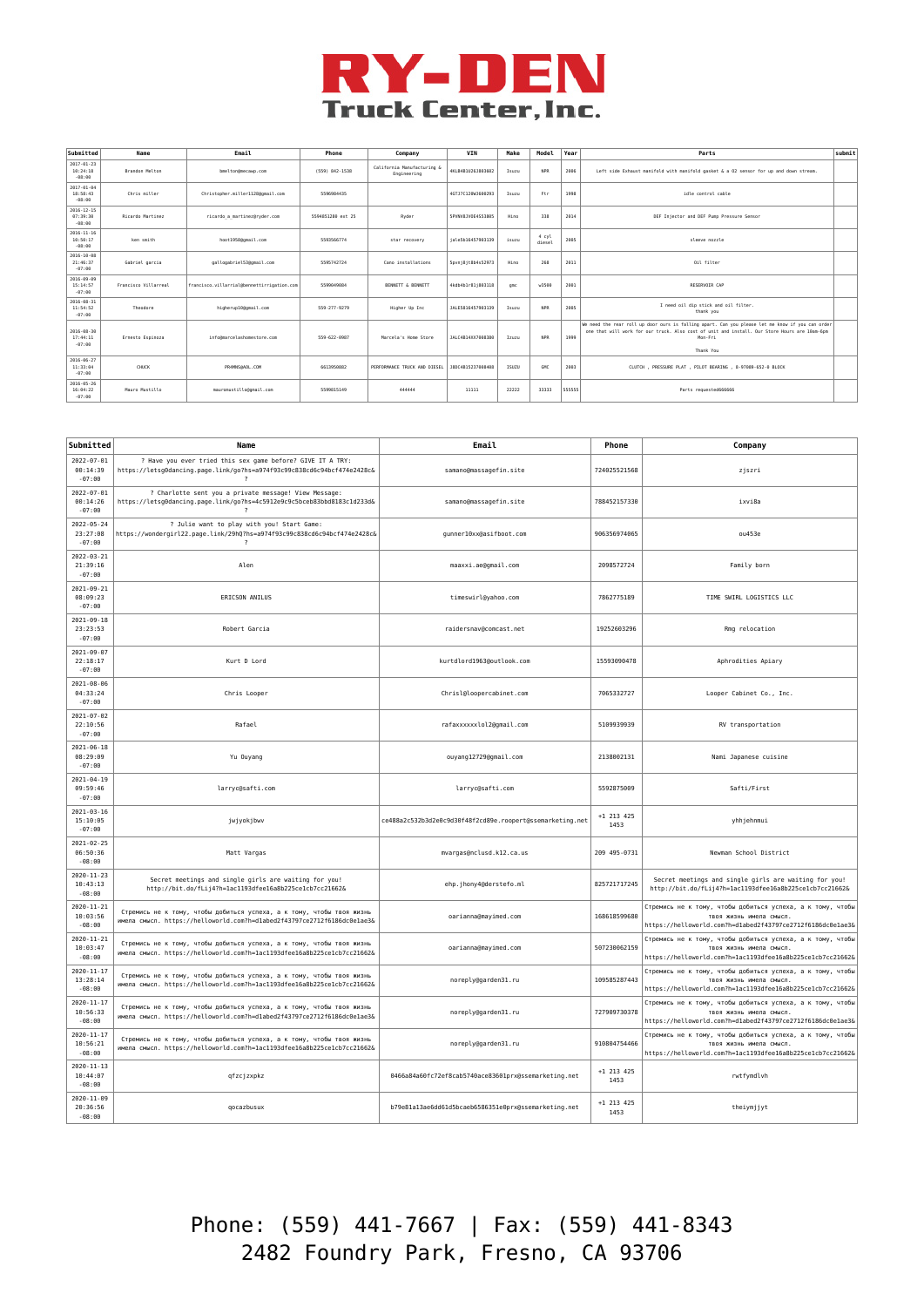

| Submitted                                | Name                 | Email                                      | Phone             | Company                                   | VIN               | Make  | Model           | Year   | Parts                                                                                                                                                                                                                     | submit |
|------------------------------------------|----------------------|--------------------------------------------|-------------------|-------------------------------------------|-------------------|-------|-----------------|--------|---------------------------------------------------------------------------------------------------------------------------------------------------------------------------------------------------------------------------|--------|
| $2017 - 01 - 23$<br>10:24:18<br>$-08:00$ | Brandon Melton       | bmelton@mecawp.com                         | (559) 842-1538    | California Manufacturing &<br>Engineering | 4KLB4B1U26J803602 | Isuzu | <b>NPR</b>      | 2006   | Left side Exhaust manifold with manifold gasket & a 02 sensor for up and down stream.                                                                                                                                     |        |
| $2017 - 01 - 04$<br>18:58:43<br>$-08:00$ | Chris miller         | Christopher.miller11280gmail.com           | 5596984435        |                                           | 4GTJ7C120WJ600293 | Isuzu | Ftr             | 1998   | idle control cable                                                                                                                                                                                                        |        |
| $2016 - 12 - 15$<br>07:39:30<br>$-08:00$ | Ricardo Martinez     | ricardo a martinez@ryder.com               | 5594851280 ext 25 | Ryder                                     | 5PVNV8JV0E4S53805 | Hino  | 338             | 2014   | DEF Injector and DEF Pump Pressure Sensor                                                                                                                                                                                 |        |
| $2016 - 11 - 16$<br>10:50:17<br>$-08:00$ | ken smith            | hoot1958@gmail.com                         | 5593566774        | star recovery                             | iale5b16457903139 | isuzu | 4 cyl<br>diesel | 2005   | sleeve nozzle                                                                                                                                                                                                             |        |
| 2016-10-08<br>21:46:37<br>$-07:00$       | Gabriel garcia       | gallogabriel53@gmail.com                   | 5595742724        | Cano installations                        | Spyni8it8b4s52973 | Hino  | 268             | 2011   | Oil filter                                                                                                                                                                                                                |        |
| 2016-09-09<br>15:14:57<br>$-07:00$       | Francisco Villarreal | francisco.villarrial@bennettirrigation.com | 5599849884        | BENNETT & BENNETT                         | 4kdb4b1r81i803118 | qnc   | w3588           | 2001   | RESERVOIR CAP                                                                                                                                                                                                             |        |
| $2016 - 08 - 31$<br>11:54:52<br>$-07:00$ | Theodore             | higherup10@gmail.com                       | 559-277-9279      | Higher Up Inc.                            | JALE5816457903139 | Isuzu | <b>NPR</b>      | 2005   | I need oil dip stick and oil filter.<br>thank you                                                                                                                                                                         |        |
| 2016-08-30<br>17:44:11<br>$-07:00$       | Ernesto Espinoza     | info@marcelashomestore.com                 | 559-622-0987      | Marcela's Home Store                      | JALC4B14XX7008380 | Izuzu | <b>NPR</b>      | 1999   | We need the rear roll up door ours is falling apart. Can you please let me know if you can order<br>one that will work for our truck. Also cost of unit and install. Our Store Hours are 10am-6cm<br>Mon-Fri<br>Thank You |        |
| $2016 - 06 - 27$<br>11:33:04<br>$-07:00$ | CHICK                | PR4MNS@AOL.COM                             | 6613958882        | PERFORMANCE TRUCK AND DIESEL              | J8DC4B15237008408 | ISUZU | GMC             | 2003   | CLUTCH , PRESSURE PLAT , PILOT BEARING , 8-97089-652-0 BLOCK                                                                                                                                                              |        |
| $2016 - 05 - 26$<br>16:04:22<br>$-07:00$ | Mauro Mustillo       | mauromustillo@gmail.com                    | 5599815149        | 444444                                    | 11111             | 22222 | 33333           | 555555 | Parts requested666666                                                                                                                                                                                                     |        |

| Submitted                                | Name                                                                                                                                              | Email                                                     | Phone                | Company                                                                                                                                             |
|------------------------------------------|---------------------------------------------------------------------------------------------------------------------------------------------------|-----------------------------------------------------------|----------------------|-----------------------------------------------------------------------------------------------------------------------------------------------------|
| $2022 - 07 - 01$<br>00:14:39<br>$-07:00$ | ? Have you ever tried this sex game before? GIVE IT A TRY:<br>https://letsg0dancing.page.link/go?hs=a974f93c99c838cd6c94bcf474e2428c&             | samano@massagefin.site                                    | 724025521568         | zjszri                                                                                                                                              |
| $2022 - 07 - 01$<br>00:14:26<br>$-07:00$ | ? Charlotte sent you a private message! View Message:<br>https://letsg0dancing.page.link/go?hs=4c5912e9c9c5bceb83bbd8183c1d233d&<br>$\cdot$       | samano@massagefin.site                                    | 788452157330         | ixvi8a                                                                                                                                              |
| $2022 - 05 - 24$<br>23:27:08<br>$-07:00$ | ? Julie want to play with you! Start Game:<br>https://wondergirl22.page.link/29hQ?hs=a974f93c99c838cd6c94bcf474e2428c&<br>$\overline{\mathbf{?}}$ | gunner10xx@asifboot.com                                   | 906356974065         | ou453e                                                                                                                                              |
| $2022 - 03 - 21$<br>21:39:16<br>$-07:00$ | Alen                                                                                                                                              | maaxxi.ae@gmail.com                                       | 2098572724           | Family born                                                                                                                                         |
| 2021-09-21<br>08:09:23<br>$-07:00$       | ERICSON ANILUS                                                                                                                                    | timeswirl@yahoo.com                                       | 7862775189           | TIME SWIRL LOGISTICS LLC                                                                                                                            |
| $2021 - 09 - 18$<br>23:23:53<br>$-07:00$ | Robert Garcia                                                                                                                                     | raidersnav@comcast.net                                    | 19252603296          | Rmg relocation                                                                                                                                      |
| $2021 - 09 - 07$<br>22:18:17<br>$-07:00$ | Kurt D Lord                                                                                                                                       | kurtdlord1963@outlook.com                                 | 15593090478          | Aphrodities Apiary                                                                                                                                  |
| $2021 - 08 - 06$<br>04:33:24<br>$-07:00$ | Chris Looper                                                                                                                                      | Chrisl@loopercabinet.com                                  | 7065332727           | Looper Cabinet Co., Inc.                                                                                                                            |
| $2021 - 07 - 02$<br>22:10:56<br>$-07:00$ | Rafael                                                                                                                                            | rafaxxxxxxlol2@gmail.com                                  | 5109939939           | RV transportation                                                                                                                                   |
| $2021 - 06 - 18$<br>08:29:09<br>$-07:00$ | Yu Ouyang                                                                                                                                         | ouyang12729@gmail.com                                     | 2138002131           | Nami Japanese cuisine                                                                                                                               |
| $2021 - 04 - 19$<br>09:59:46<br>$-07:00$ | larryc@safti.com                                                                                                                                  | larryc@safti.com                                          | 5592875009           | Safti/First                                                                                                                                         |
| 2021-03-16<br>15:10:05<br>$-07:00$       | jwjyokjbwv                                                                                                                                        | ce488a2c532b3d2e0c9d30f48f2cd89e.roopert@ssemarketing.net | $+1$ 213 425<br>1453 | yhhjehnmui                                                                                                                                          |
| $2021 - 02 - 25$<br>06:50:36<br>$-08:00$ | Matt Vargas                                                                                                                                       | mvargas@nclusd.k12.ca.us                                  | 209 495-0731         | Newman School District                                                                                                                              |
| $2020 - 11 - 23$<br>10:43:13<br>$-08:00$ | Secret meetings and single girls are waiting for you!<br>http://bit.do/fLij4?h=1ac1193dfee16a8b225ce1cb7cc21662&                                  | ehp.jhony4@derstefo.ml                                    | 825721717245         | Secret meetings and single girls are waiting for you!<br>http://bit.do/fLij4?h=1ac1193dfee16a8b225ce1cb7cc21662&                                    |
| $2020 - 11 - 21$<br>10:03:56<br>$-08:00$ | Стремись не к тому, чтобы добиться успеха, а к тому, чтобы твоя жизнь<br>имела смысл. https://helloworld.com?h=dlabed2f43797ce2712f6186dc0e1ae3&  | oarianna@mayimed.com                                      | 168618599680         | Стремись не к тому, чтобы добиться успеха, а к тому, чтобы<br>твоя жизнь имела смысл.<br>https://helloworld.com?h=dlabed2f43797ce2712f6186dc0elae3& |
| $2020 - 11 - 21$<br>10:03:47<br>$-08:00$ | Стремись не к тому, чтобы добиться успеха, а к тому, чтобы твоя жизнь<br>имела смысл. https://helloworld.com?h=1ac1193dfee16a8b225ce1cb7cc21662&  | oarianna@mayimed.com                                      | 507230062159         | Стремись не к тому, чтобы добиться успеха, а к тому, чтобы<br>твоя жизнь имела смысл.<br>https://helloworld.com?h=1ac1193dfee16a8b225ce1cb7cc21662& |
| $2020 - 11 - 17$<br>13:28:14<br>$-08:00$ | Стремись не к тому, чтобы добиться успеха, а к тому, чтобы твоя жизнь<br>имела смысл. https://helloworld.com?h=1ac1193dfee16a8b225ce1cb7cc21662&  | noreply@garden31.ru                                       | 109585287443         | Стремись не к тому, чтобы добиться успеха, а к тому, чтобы<br>твоя жизнь имела смысл<br>https://helloworld.com?h=1ac1193dfee16a8b225ce1cb7cc21662&  |
| $2020 - 11 - 17$<br>10:56:33<br>$-08:00$ | Стремись не к тому, чтобы добиться успеха, а к тому, чтобы твоя жизнь<br>имела смысл. https://helloworld.com?h=dlabed2f43797ce2712f6186dc0elae3&  | noreply@garden31.ru                                       | 727909730378         | Стремись не к тому, чтобы добиться успеха, а к тому, чтобы<br>твоя жизнь имела смысл.<br>https://helloworld.com?h=dlabed2f43797ce2712f6186dc0e1ae3& |
| $2020 - 11 - 17$<br>10:56:21<br>$-08:00$ | Стремись не к тому, чтобы добиться успеха, а к тому, чтобы твоя жизнь<br>имела смысл. https://helloworld.com?h=1ac1193dfee16a8b225ce1cb7cc21662&  | noreply@garden31.ru                                       | 910804754466         | Стремись не к тому, чтобы добиться успеха, а к тому, чтобы<br>твоя жизнь имела смысл.<br>https://helloworld.com?h=1ac1193dfee16a8b225ce1cb7cc21662& |
| $2020 - 11 - 13$<br>10:44:07<br>$-08:00$ | qfzcjzxpkz                                                                                                                                        | 0466a84a60fc72ef8cab5740ace83601prx@ssemarketing.net      | $+1$ 213 425<br>1453 | rwtfymdlvh                                                                                                                                          |
| $2020 - 11 - 09$<br>20:36:56<br>$-08:00$ | qocazbusux                                                                                                                                        | b79e81a13ae6dd61d5bcaeb6586351e0prx@ssemarketing.net      | +1 213 425<br>1453   | theiymjjyt                                                                                                                                          |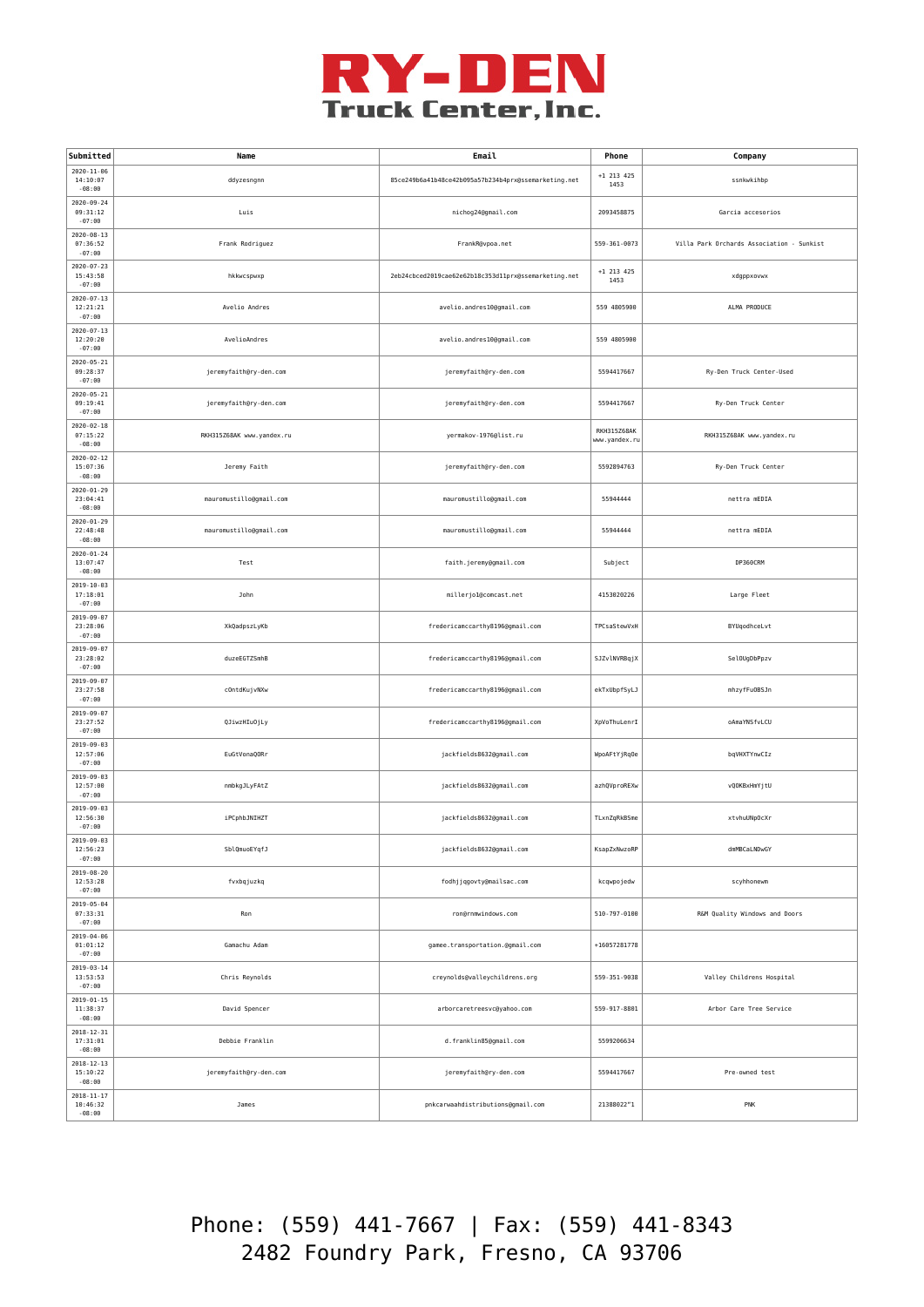

| Submitted                                | Name                      | Email                                                |                              | Company                                   |
|------------------------------------------|---------------------------|------------------------------------------------------|------------------------------|-------------------------------------------|
| $2020 - 11 - 06$<br>14:10:07<br>$-08:00$ | ddyzesngnn                | 85ce249b6a41b48ce42b095a57b234b4prx@ssemarketing.net | +1 213 425<br>1453           | ssnkwkihbp                                |
| $2020 - 09 - 24$<br>09:31:12<br>$-07:00$ | Luis                      | nichog24@gmail.com                                   | 2093458875                   | Garcia accesorios                         |
| $2020 - 08 - 13$<br>07:36:52<br>$-07:00$ | Frank Rodriguez           | FrankR@vpoa.net                                      | 559-361-0073                 | Villa Park Orchards Association - Sunkist |
| $2020 - 07 - 23$<br>15:43:58<br>$-07:00$ | hkkwcspwxp                | 2eb24cbced2019cae62e62b18c353d11prx@ssemarketing.net | +1 213 425<br>1453           | xdgppxovwx                                |
| $2020 - 07 - 13$<br>12:21:21<br>$-07:00$ | Avelio Andres             | avelio.andres10@gmail.com                            | 559 4805900                  | ALMA PRODUCE                              |
| $2020 - 07 - 13$<br>12:20:20<br>$-07:00$ | AvelioAndres              | avelio.andres10@gmail.com                            | 559 4805900                  |                                           |
| 2020-05-21<br>09:28:37<br>$-07:00$       | jeremyfaith@ry-den.com    | jeremyfaith@ry-den.com                               | 5594417667                   | Ry-Den Truck Center-Used                  |
| 2020-05-21<br>09:19:41<br>$-07:00$       | jeremyfaith@ry-den.com    | jeremyfaith@ry-den.com                               | 5594417667                   | Ry-Den Truck Center                       |
| $2020 - 02 - 18$<br>07:15:22<br>$-08:00$ | RKH315Z68AK www.yandex.ru | yermakov-1976@list.ru                                | RKH315Z68AK<br>www.yandex.ru | RKH315Z68AK www.yandex.ru                 |
| $2020 - 02 - 12$<br>15:07:36<br>$-08:00$ | Jeremy Faith              | jeremyfaith@ry-den.com                               | 5592894763                   | Ry-Den Truck Center                       |
| $2020 - 01 - 29$<br>23:04:41<br>$-08:00$ | mauromustillo@gmail.com   | mauromustillo@gmail.com                              | 55944444                     | nettra mEDIA                              |
| $2020 - 01 - 29$<br>22:48:48<br>$-08:00$ | mauromustillo@gmail.com   | mauromustillo@gmail.com                              | 55944444                     | nettra mEDIA                              |
| $2020 - 01 - 24$<br>13:07:47<br>$-08:00$ | Test                      | faith.jeremy@gmail.com                               | Subject                      | DP360CRM                                  |
| 2019-10-03<br>17:18:01<br>$-07:00$       | John                      | millerjo1@comcast.net                                | 4153020226                   | Large Fleet                               |
| $2019 - 09 - 07$<br>23:28:06<br>$-07:00$ | XkQadpszLyKb              | fredericamccarthy8196@gmail.com                      | TPCsaStewVxH                 | BYUqodhceLvt                              |
| $2019 - 09 - 07$<br>23:28:02<br>$-07:00$ | duzeEGTZSmhB              | fredericamccarthy8196@gmail.com                      | SJZvlNVRBqjX                 | SelOUgDbPpzv                              |
| $2019 - 09 - 07$<br>23:27:58<br>$-07:00$ | cOntdKujvNXw              | fredericamccarthy8196@gmail.com                      | ekTxUbpfSyLJ                 | mhzyfFu0BSJn                              |
| $2019 - 09 - 07$<br>23:27:52<br>$-07:00$ | QJiwzHIuOjLy              | fredericamccarthy8196@gmail.com                      | XpVoThuLenrI                 | oAmaYNSfvLCU                              |
| $2019 - 09 - 03$<br>12:57:06<br>$-07:00$ | EuGtVonaQORr              | jackfields8632@gmail.com                             | WpoAFtYjRqOe                 | bqVHXTYnwCIz                              |
| $2019 - 09 - 03$<br>12:57:00<br>$-07:00$ | nmbkgJLyFAtZ              | jackfields8632@gmail.com                             | azhQVproREXw                 | vQOKBxHmYjtU                              |
| $2019 - 09 - 03$<br>12:56:30<br>$-07:00$ | iPCphbJNIHZT              | jackfields8632@gmail.com                             | TLxnZqRkBSme                 | xtvhuUNpOcXr                              |
| 2019-09-03<br>12:56:23<br>$-07:00$       | SblQmuoEYqfJ              | jackfields8632@gmail.com                             | KsapZxNwzoRP                 | dmMBCaLNDwGY                              |
| $2019 - 08 - 20$<br>12:53:28<br>$-07:00$ | fvxbqjuzkq                | fodhjjqgovty@mailsac.com                             | kcqwpojedw                   | scyhhonewm                                |
| $2019 - 05 - 04$<br>07:33:31<br>$-07:00$ | Ron                       | ron@rnmwindows.com                                   | 510-797-0100                 | R&M Quality Windows and Doors             |
| $2019 - 04 - 06$<br>01:01:12<br>$-07:00$ | Gamachu Adam              | gamee.transportation.@gmail.com                      | +16057281778                 |                                           |
| 2019-03-14<br>13:53:53<br>$-07:00$       | Chris Reynolds            | creynolds@valleychildrens.org                        | 559-351-9038                 | Valley Childrens Hospital                 |
| $2019 - 01 - 15$<br>11:38:37<br>$-08:00$ | David Spencer             | arborcaretreesvc@yahoo.com                           | 559-917-8801                 | Arbor Care Tree Service                   |
| $2018 - 12 - 31$<br>17:31:01<br>$-08:00$ | Debbie Franklin           | d.franklin85@gmail.com                               | 5599206634                   |                                           |
| $2018 - 12 - 13$<br>15:10:22<br>$-08:00$ | jeremyfaith@ry-den.com    | jeremyfaith@ry-den.com                               | 5594417667                   | Pre-owned test                            |
| $2018 - 11 - 17$<br>10:46:32<br>$-08:00$ | James                     | pnkcarwaahdistributions@gmail.com                    | 21388022"1                   | PNK                                       |